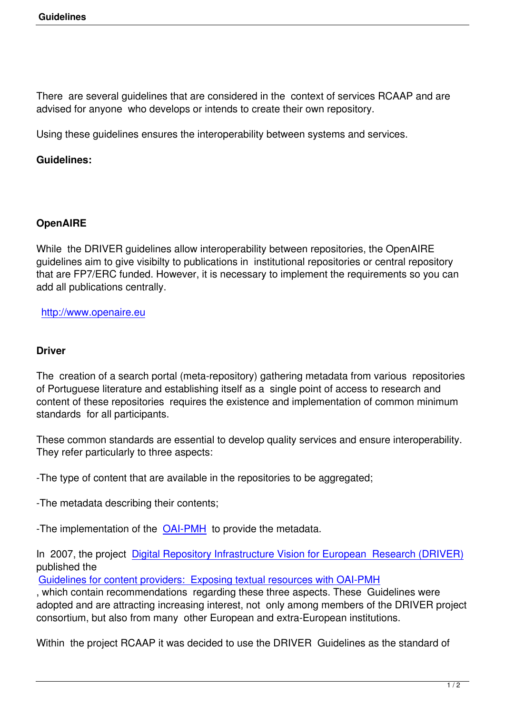There are several guidelines that are considered in the context of services RCAAP and are advised for anyone who develops or intends to create their own repository.

Using these guidelines ensures the interoperability between systems and services.

## **Guidelines:**

## **OpenAIRE**

While the DRIVER guidelines allow interoperability between repositories, the OpenAIRE guidelines aim to give visibilty to publications in institutional repositories or central repository that are FP7/ERC funded. However, it is necessary to implement the requirements so you can add all publications centrally.

http://www.openaire.eu

## **[Driver](http://www.openaire.eu)**

The creation of a search portal (meta-repository) gathering metadata from various repositories of Portuguese literature and establishing itself as a single point of access to research and content of these repositories requires the existence and implementation of common minimum standards for all participants.

These common standards are essential to develop quality services and ensure interoperability. They refer particularly to three aspects:

-The type of content that are available in the repositories to be aggregated;

-The metadata describing their contents;

-The implementation of the OAI-PMH to provide the metadata.

In 2007, the project Digital Repository Infrastructure Vision for European Research (DRIVER) published the

Guidelines for content provi[ders: Exp](http://www.openarchives.org/pmh/)osing textual resources with OAI-PMH

, which contain reco[mmendations regarding these three aspects. These Guidelines were](http://www.driver-community.eu/) adopted and are attracting increasing interest, not only among members of the DRIVER project [consortium, but also from many other European and extra-European instituti](http://www.driver-support.eu/guidelines/index.html)ons.

Within the project RCAAP it was decided to use the DRIVER Guidelines as the standard of